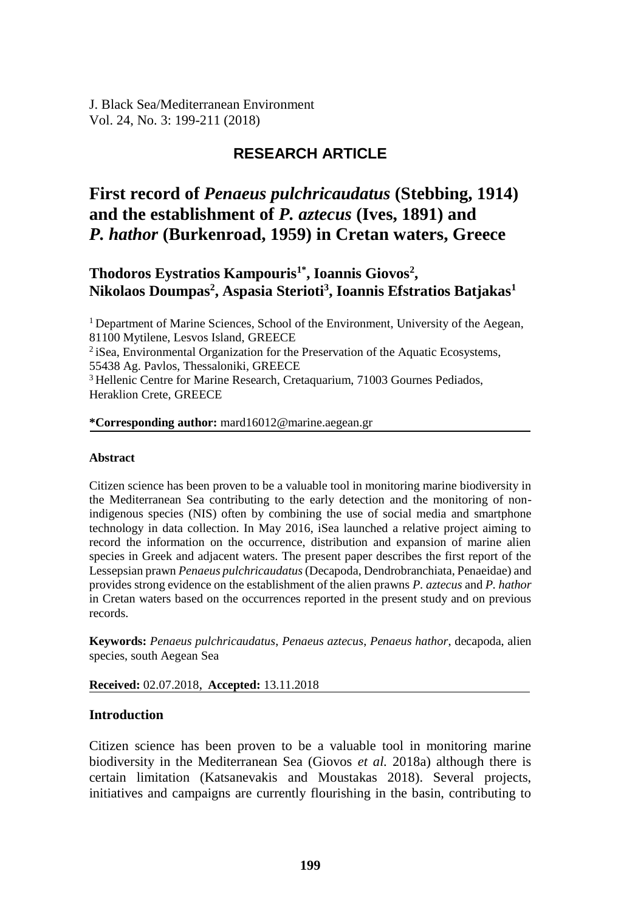J. Black Sea/Mediterranean Environment Vol. 24, No. 3: 199-211 (2018)

# **RESEARCH ARTICLE**

# **First record of** *Penaeus pulchricaudatus* **(Stebbing, 1914) and the establishment of** *P. aztecus* **(Ives, 1891) and** *P. hathor* **(Burkenroad, 1959) in Cretan waters, Greece**

# **Thodoros Eystratios Kampouris1\*, Ioannis Giovos<sup>2</sup> , Nikolaos Doumpas<sup>2</sup> , Aspasia Sterioti<sup>3</sup> , Ioannis Efstratios Batjakas<sup>1</sup>**

<sup>1</sup> Department of Marine Sciences, School of the Environment, University of the Aegean, 81100 Mytilene, Lesvos Island, GREECE

<sup>2</sup> iSea, Environmental Organization for the Preservation of the Aquatic Ecosystems, 55438 Ag. Pavlos, Thessaloniki, GREECE

<sup>3</sup> Hellenic Centre for Marine Research, Cretaquarium, 71003 Gournes Pediados, Heraklion Crete, GREECE

#### **\*Corresponding author:** mard16012@marine.aegean.gr

#### **Abstract**

Citizen science has been proven to be a valuable tool in monitoring marine biodiversity in the Mediterranean Sea contributing to the early detection and the monitoring of nonindigenous species (NIS) often by combining the use of social media and smartphone technology in data collection. In May 2016, iSea launched a relative project aiming to record the information on the occurrence, distribution and expansion of marine alien species in Greek and adjacent waters. The present paper describes the first report of the Lessepsian prawn *Penaeus pulchricaudatus* (Decapoda, Dendrobranchiata, Penaeidae) and provides strong evidence on the establishment of the alien prawns *P. aztecus* and *P. hathor* in Cretan waters based on the occurrences reported in the present study and on previous records.

**Keywords:** *Penaeus pulchricaudatus*, *Penaeus aztecus*, *Penaeus hathor*, decapoda, alien species, south Aegean Sea

**Received:** 02.07.2018, **Accepted:** 13.11.2018

## **Introduction**

Citizen science has been proven to be a valuable tool in monitoring marine biodiversity in the Mediterranean Sea (Giovos *et al.* 2018a) although there is certain limitation (Katsanevakis and Moustakas 2018). Several projects, initiatives and campaigns are currently flourishing in the basin, contributing to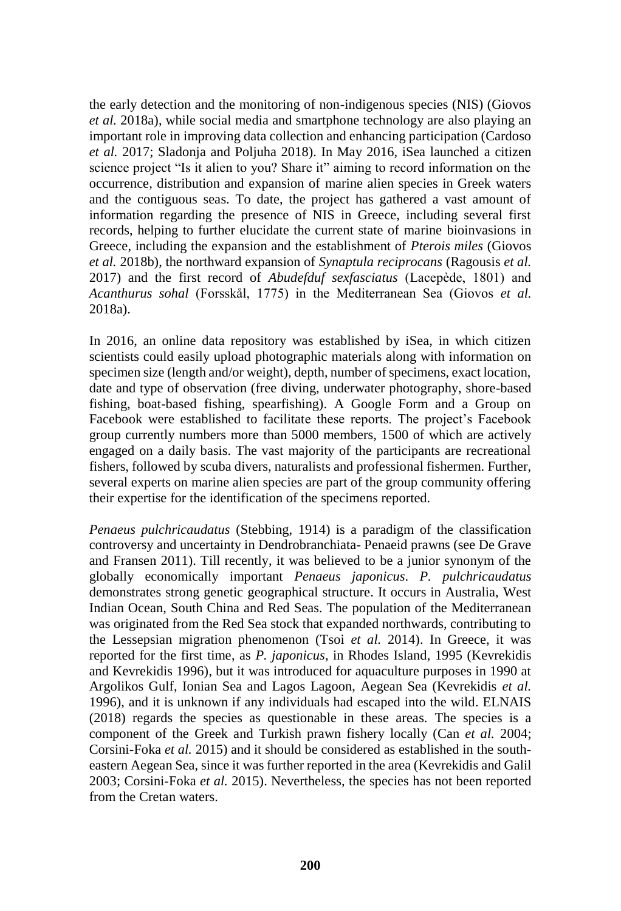the early detection and the monitoring of non-indigenous species (NIS) (Giovos *et al.* 2018a), while social media and smartphone technology are also playing an important role in improving data collection and enhancing participation (Cardoso *et al.* 2017; Sladonja and Poljuha 2018). In May 2016, iSea launched a citizen science project "Is it alien to you? Share it" aiming to record information on the occurrence, distribution and expansion of marine alien species in Greek waters and the contiguous seas. To date, the project has gathered a vast amount of information regarding the presence of NIS in Greece, including several first records, helping to further elucidate the current state of marine bioinvasions in Greece, including the expansion and the establishment of *Pterois miles* (Giovos *et al.* 2018b), the northward expansion of *Synaptula reciprocans* (Ragousis *et al.* 2017) and the first record of *Abudefduf sexfasciatus* (Lacepède, 1801) and *Acanthurus sohal* (Forsskål, 1775) in the Mediterranean Sea (Giovos *et al.* 2018a).

In 2016, an online data repository was established by iSea, in which citizen scientists could easily upload photographic materials along with information on specimen size (length and/or weight), depth, number of specimens, exact location, date and type of observation (free diving, underwater photography, shore-based fishing, boat-based fishing, spearfishing). A Google Form and a Group on Facebook were established to facilitate these reports. The project's Facebook group currently numbers more than 5000 members, 1500 of which are actively engaged on a daily basis. The vast majority of the participants are recreational fishers, followed by scuba divers, naturalists and professional fishermen. Further, several experts on marine alien species are part of the group community offering their expertise for the identification of the specimens reported.

*Penaeus pulchricaudatus* (Stebbing, 1914) is a paradigm of the classification controversy and uncertainty in Dendrobranchiata- Penaeid prawns (see De Grave and Fransen 2011). Till recently, it was believed to be a junior synonym of the globally economically important *Penaeus japonicus*. *P. pulchricaudatus*  demonstrates strong genetic geographical structure. It occurs in Australia, West Indian Ocean, South China and Red Seas. The population of the Mediterranean was originated from the Red Sea stock that expanded northwards, contributing to the Lessepsian migration phenomenon (Tsoi *et al.* 2014). In Greece, it was reported for the first time, as *P. japonicus*, in Rhodes Island, 1995 (Kevrekidis and Kevrekidis 1996), but it was introduced for aquaculture purposes in 1990 at Argolikos Gulf, Ionian Sea and Lagos Lagoon, Aegean Sea (Kevrekidis *et al.* 1996), and it is unknown if any individuals had escaped into the wild. ELNAIS (2018) regards the species as questionable in these areas. The species is a component of the Greek and Turkish prawn fishery locally (Can *et al.* 2004; Corsini-Foka *et al.* 2015) and it should be considered as established in the southeastern Aegean Sea, since it was further reported in the area (Kevrekidis and Galil 2003; Corsini-Foka *et al.* 2015). Nevertheless, the species has not been reported from the Cretan waters.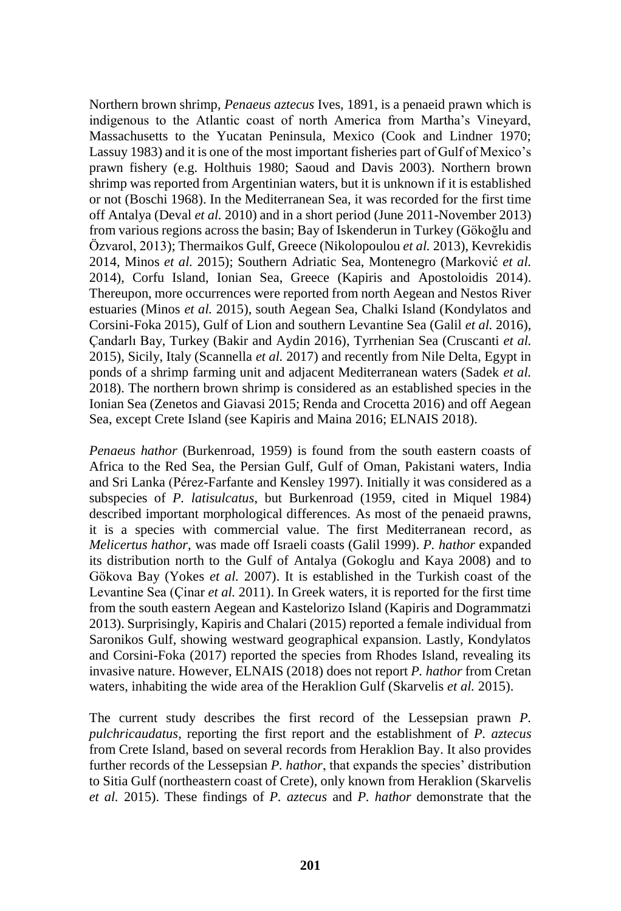Northern brown shrimp, *Penaeus aztecus* Ives, 1891, is a penaeid prawn which is indigenous to the Atlantic coast of north America from Martha's Vineyard, Massachusetts to the Yucatan Peninsula, Mexico (Cook and Lindner 1970; Lassuy 1983) and it is one of the most important fisheries part of Gulf of Mexico's prawn fishery (e.g. Holthuis 1980; Saoud and Davis 2003). Northern brown shrimp was reported from Argentinian waters, but it is unknown if it is established or not (Boschi 1968). In the Mediterranean Sea, it was recorded for the first time off Antalya (Deval *et al.* 2010) and in a short period (June 2011-November 2013) from various regions across the basin; Bay of Iskenderun in Turkey (Gökoğlu and Özvarol, 2013); Thermaikos Gulf, Greece (Nikolopoulou *et al.* 2013), Kevrekidis 2014, Minos *et al.* 2015); Southern Adriatic Sea, Montenegro (Marković *et al.* 2014), Corfu Island, Ionian Sea, Greece (Kapiris and Apostoloidis 2014). Thereupon, more occurrences were reported from north Aegean and Nestos River estuaries (Minos *et al.* 2015), south Aegean Sea, Chalki Island (Kondylatos and Corsini-Foka 2015), Gulf of Lion and southern Levantine Sea (Galil *et al.* 2016), Çandarlı Bay, Turkey (Bakir and Aydin 2016), Tyrrhenian Sea (Cruscanti *et al.* 2015), Sicily, Italy (Scannella *et al.* 2017) and recently from Nile Delta, Egypt in ponds of a shrimp farming unit and adjacent Mediterranean waters (Sadek *et al.* 2018). The northern brown shrimp is considered as an established species in the Ionian Sea (Zenetos and Giavasi 2015; Renda and Crocetta 2016) and off Aegean Sea, except Crete Island (see Kapiris and Maina 2016; ELNAIS 2018).

*Penaeus hathor* (Burkenroad, 1959) is found from the south eastern coasts of Africa to the Red Sea, the Persian Gulf, Gulf of Oman, Pakistani waters, India and Sri Lanka (Pérez-Farfante and Kensley 1997). Initially it was considered as a subspecies of *P. latisulcatus*, but Burkenroad (1959, cited in Miquel 1984) described important morphological differences. As most of the penaeid prawns, it is a species with commercial value. The first Mediterranean record, as *Melicertus hathor*, was made off Israeli coasts (Galil 1999). *P. hathor* expanded its distribution north to the Gulf of Antalya (Gokoglu and Kaya 2008) and to Gökova Bay (Yokes *et al.* 2007). It is established in the Turkish coast of the Levantine Sea (Çinar *et al.* 2011). In Greek waters, it is reported for the first time from the south eastern Aegean and Kastelorizo Island (Kapiris and Dogrammatzi 2013). Surprisingly, Kapiris and Chalari (2015) reported a female individual from Saronikos Gulf, showing westward geographical expansion. Lastly, Kondylatos and Corsini-Foka (2017) reported the species from Rhodes Island, revealing its invasive nature. However, ELNAIS (2018) does not report *P. hathor* from Cretan waters, inhabiting the wide area of the Heraklion Gulf (Skarvelis *et al.* 2015).

The current study describes the first record of the Lessepsian prawn *P. pulchricaudatus*, reporting the first report and the establishment of *P. aztecus*  from Crete Island, based on several records from Heraklion Bay. It also provides further records of the Lessepsian *P. hathor*, that expands the species' distribution to Sitia Gulf (northeastern coast of Crete), only known from Heraklion (Skarvelis *et al.* 2015). These findings of *P. aztecus* and *P. hathor* demonstrate that the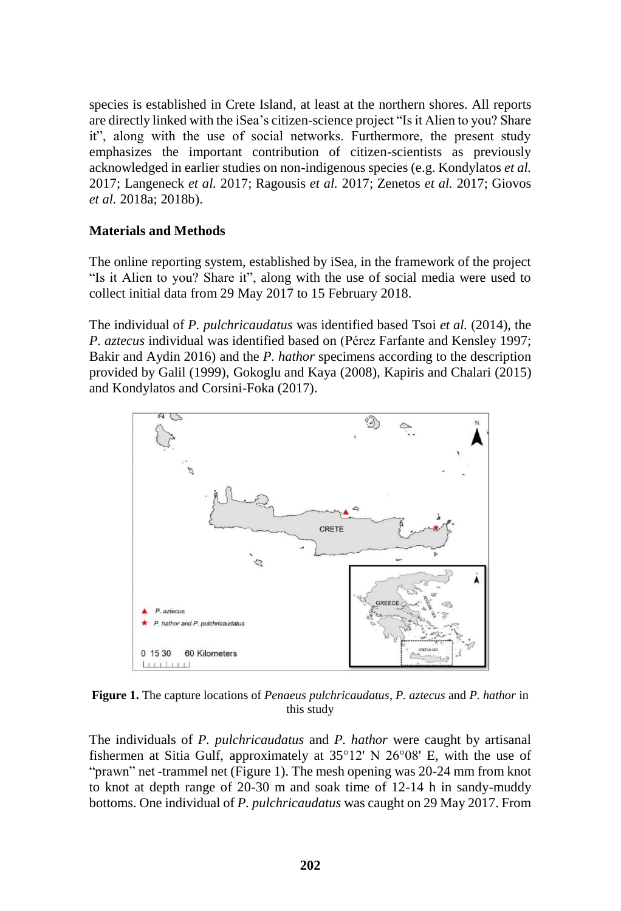species is established in Crete Island, at least at the northern shores. All reports are directly linked with the iSea's citizen-science project "Is it Alien to you? Share it", along with the use of social networks. Furthermore, the present study emphasizes the important contribution of citizen-scientists as previously acknowledged in earlier studies on non-indigenous species (e.g. Kondylatos *et al.* 2017; Langeneck *et al.* 2017; Ragousis *et al.* 2017; Zenetos *et al.* 2017; Giovos *et al.* 2018a; 2018b).

## **Materials and Methods**

The online reporting system, established by iSea, in the framework of the project "Is it Alien to you? Share it", along with the use of social media were used to collect initial data from 29 May 2017 to 15 February 2018.

The individual of *P. pulchricaudatus* was identified based Tsoi *et al.* (2014), the *P. aztecus* individual was identified based on (Pérez Farfante and Kensley 1997; Bakir and Aydin 2016) and the *P. hathor* specimens according to the description provided by Galil (1999), Gokoglu and Kaya (2008), Kapiris and Chalari (2015) and Kondylatos and Corsini-Foka (2017).



**Figure 1.** The capture locations of *Penaeus pulchricaudatus*, *P. aztecus* and *P. hathor* in this study

The individuals of *P. pulchricaudatus* and *P. hathor* were caught by artisanal fishermen at Sitia Gulf, approximately at 35°12' N 26°08' E, with the use of "prawn" net -trammel net (Figure 1). The mesh opening was 20-24 mm from knot to knot at depth range of 20-30 m and soak time of 12-14 h in sandy-muddy bottoms. One individual of *P. pulchricaudatus* was caught on 29 May 2017. From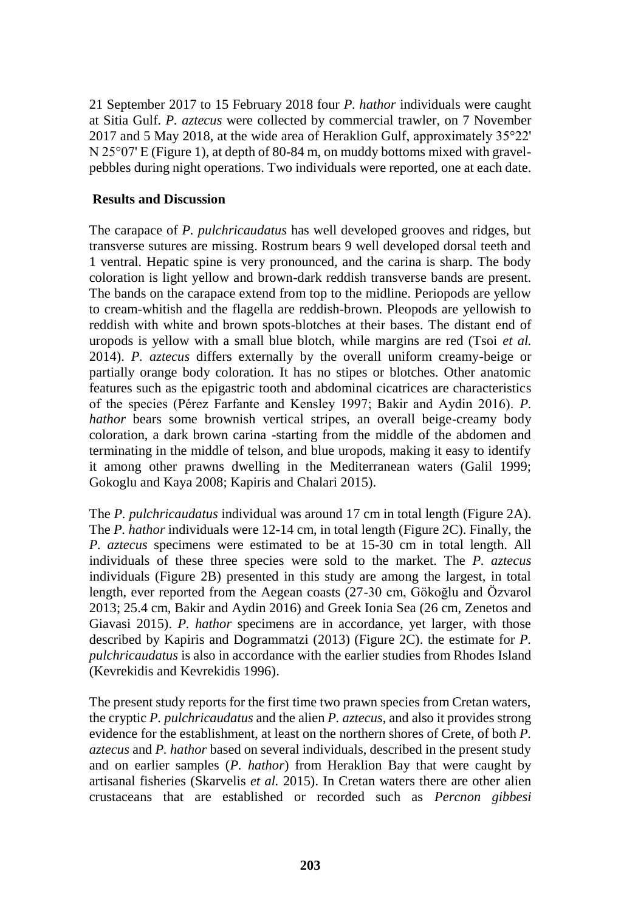21 September 2017 to 15 February 2018 four *P. hathor* individuals were caught at Sitia Gulf. *P. aztecus* were collected by commercial trawler, on 7 November 2017 and 5 May 2018, at the wide area of Heraklion Gulf, approximately 35°22' N 25°07' E (Figure 1), at depth of 80-84 m, on muddy bottoms mixed with gravelpebbles during night operations. Two individuals were reported, one at each date.

## **Results and Discussion**

The carapace of *P. pulchricaudatus* has well developed grooves and ridges, but transverse sutures are missing. Rostrum bears 9 well developed dorsal teeth and 1 ventral. Hepatic spine is very pronounced, and the carina is sharp. The body coloration is light yellow and brown-dark reddish transverse bands are present. The bands on the carapace extend from top to the midline. Periopods are yellow to cream-whitish and the flagella are reddish-brown. Pleopods are yellowish to reddish with white and brown spots-blotches at their bases. The distant end of uropods is yellow with a small blue blotch, while margins are red (Tsoi *et al.* 2014). *P. aztecus* differs externally by the overall uniform creamy-beige or partially orange body coloration. It has no stipes or blotches. Other anatomic features such as the epigastric tooth and abdominal cicatrices are characteristics of the species (Pérez Farfante and Kensley 1997; Bakir and Aydin 2016). *P. hathor* bears some brownish vertical stripes, an overall beige-creamy body coloration, a dark brown carina -starting from the middle of the abdomen and terminating in the middle of telson, and blue uropods, making it easy to identify it among other prawns dwelling in the Mediterranean waters (Galil 1999; Gokoglu and Kaya 2008; Kapiris and Chalari 2015).

The *P. pulchricaudatus* individual was around 17 cm in total length (Figure 2A). The *P. hathor* individuals were 12-14 cm, in total length (Figure 2C). Finally, the *P. aztecus* specimens were estimated to be at 15-30 cm in total length. All individuals of these three species were sold to the market. The *P. aztecus*  individuals (Figure 2B) presented in this study are among the largest, in total length, ever reported from the Aegean coasts (27-30 cm, Gökoğlu and Özvarol 2013; 25.4 cm, Bakir and Aydin 2016) and Greek Ionia Sea (26 cm, Zenetos and Giavasi 2015). *P. hathor* specimens are in accordance, yet larger, with those described by Kapiris and Dogrammatzi (2013) (Figure 2C). the estimate for *P. pulchricaudatus* is also in accordance with the earlier studies from Rhodes Island (Kevrekidis and Kevrekidis 1996).

The present study reports for the first time two prawn species from Cretan waters, the cryptic *P. pulchricaudatus* and the alien *P. aztecus*, and also it provides strong evidence for the establishment, at least on the northern shores of Crete, of both *P. aztecus* and *P. hathor* based on several individuals, described in the present study and on earlier samples (*P. hathor*) from Heraklion Bay that were caught by artisanal fisheries (Skarvelis *et al.* 2015). In Cretan waters there are other alien crustaceans that are established or recorded such as *Percnon gibbesi*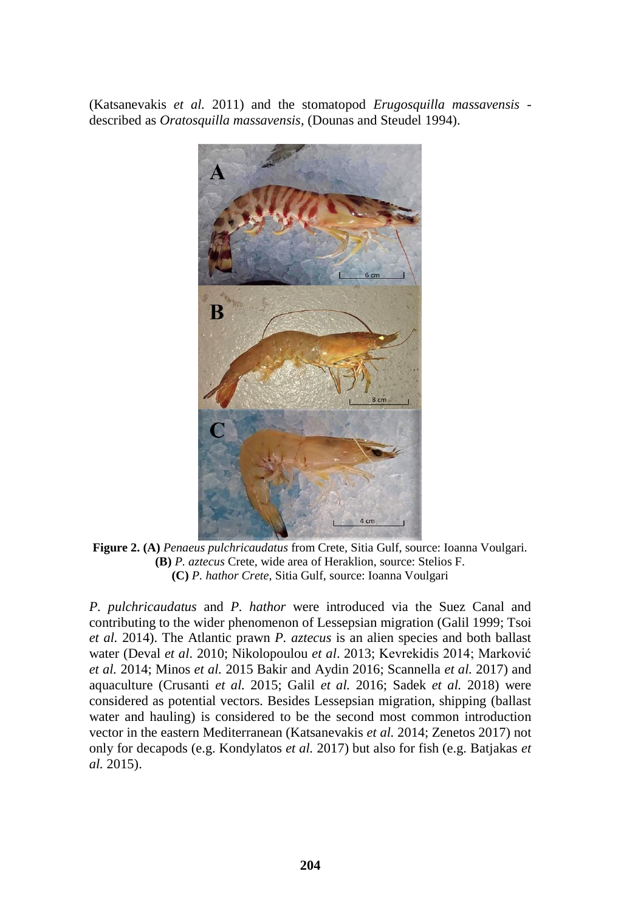(Katsanevakis *et al.* 2011) and the stomatopod *Erugosquilla massavensis* described as *Oratosquilla massavensis*, (Dounas and Steudel 1994).



**Figure 2. (A)** *Penaeus pulchricaudatus* from Crete, Sitia Gulf, source: Ioanna Voulgari. **(B)** *P. aztecus* Crete, wide area of Heraklion, source: Stelios F. **(C)** *P. hathor Crete*, Sitia Gulf, source: Ioanna Voulgari

*P. pulchricaudatus* and *P. hathor* were introduced via the Suez Canal and contributing to the wider phenomenon of Lessepsian migration (Galil 1999; Tsoi *et al.* 2014). The Atlantic prawn *P. aztecus* is an alien species and both ballast water (Deval *et al*. 2010; Nikolopoulou *et al*. 2013; Kevrekidis 2014; Marković *et al.* 2014; Minos *et al.* 2015 Bakir and Aydin 2016; Scannella *et al.* 2017) and aquaculture (Crusanti *et al.* 2015; Galil *et al.* 2016; Sadek *et al.* 2018) were considered as potential vectors. Besides Lessepsian migration, shipping (ballast water and hauling) is considered to be the second most common introduction vector in the eastern Mediterranean (Katsanevakis *et al.* 2014; Zenetos 2017) not only for decapods (e.g. Kondylatos *et al.* 2017) but also for fish (e.g. Batjakas *et al.* 2015).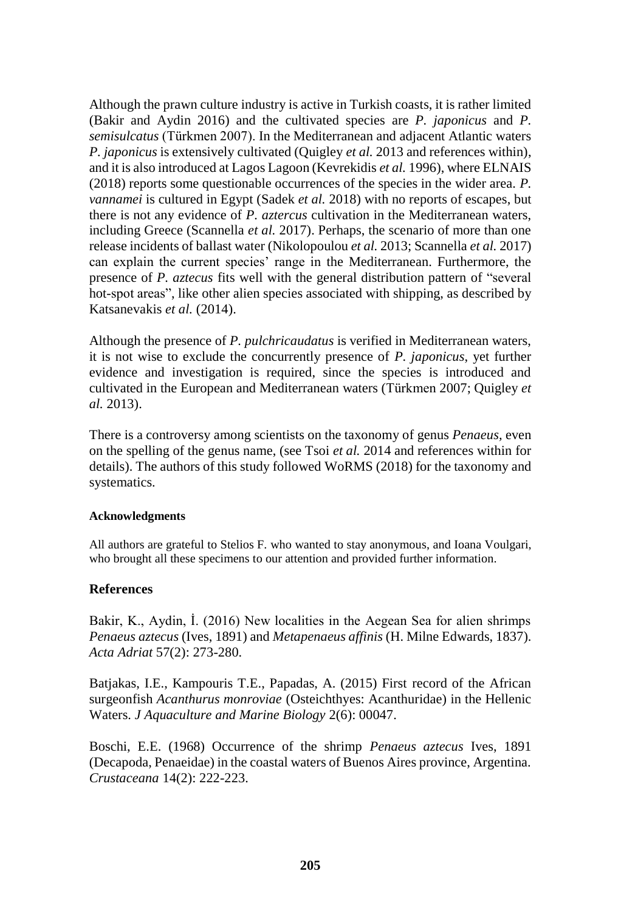Although the prawn culture industry is active in Turkish coasts, it is rather limited (Bakir and Aydin 2016) and the cultivated species are *P. japonicus* and *P. semisulcatus* (Türkmen 2007). In the Mediterranean and adjacent Atlantic waters *P. japonicus* is extensively cultivated (Quigley *et al.* 2013 and references within), and it is also introduced at Lagos Lagoon (Kevrekidis *et al.* 1996), where ELNAIS (2018) reports some questionable occurrences of the species in the wider area. *P. vannamei* is cultured in Egypt (Sadek *et al.* 2018) with no reports of escapes, but there is not any evidence of *P. aztercus* cultivation in the Mediterranean waters, including Greece (Scannella *et al.* 2017). Perhaps, the scenario of more than one release incidents of ballast water (Nikolopoulou *et al.* 2013; Scannella *et al.* 2017) can explain the current species' range in the Mediterranean. Furthermore, the presence of *P. aztecus* fits well with the general distribution pattern of "several hot-spot areas", like other alien species associated with shipping, as described by Katsanevakis *et al.* (2014).

Although the presence of *P. pulchricaudatus* is verified in Mediterranean waters, it is not wise to exclude the concurrently presence of *P. japonicus*, yet further evidence and investigation is required, since the species is introduced and cultivated in the European and Mediterranean waters (Türkmen 2007; Quigley *et al.* 2013).

There is a controversy among scientists on the taxonomy of genus *Penaeus,* even on the spelling of the genus name, (see Tsoi *et al.* 2014 and references within for details). The authors of this study followed WoRMS (2018) for the taxonomy and systematics.

#### **Acknowledgments**

All authors are grateful to Stelios F. who wanted to stay anonymous, and Ioana Voulgari, who brought all these specimens to our attention and provided further information.

## **References**

Bakir, K., Aydin, İ. (2016) New localities in the Aegean Sea for alien shrimps *Penaeus aztecus* (Ives, 1891) and *Metapenaeus affinis* (H. Milne Edwards, 1837). *Acta Adriat* 57(2): 273-280.

Batjakas, I.E., Kampouris T.E., Papadas, A. (2015) First record of the African surgeonfish *Acanthurus monroviae* (Osteichthyes: Acanthuridae) in the Hellenic Waters. *J Aquaculture and Marine Biology* 2(6): 00047.

Boschi, E.E. (1968) Occurrence of the shrimp *Penaeus aztecus* Ives, 1891 (Decapoda, Penaeidae) in the coastal waters of Buenos Aires province, Argentina. *Crustaceana* 14(2): 222-223.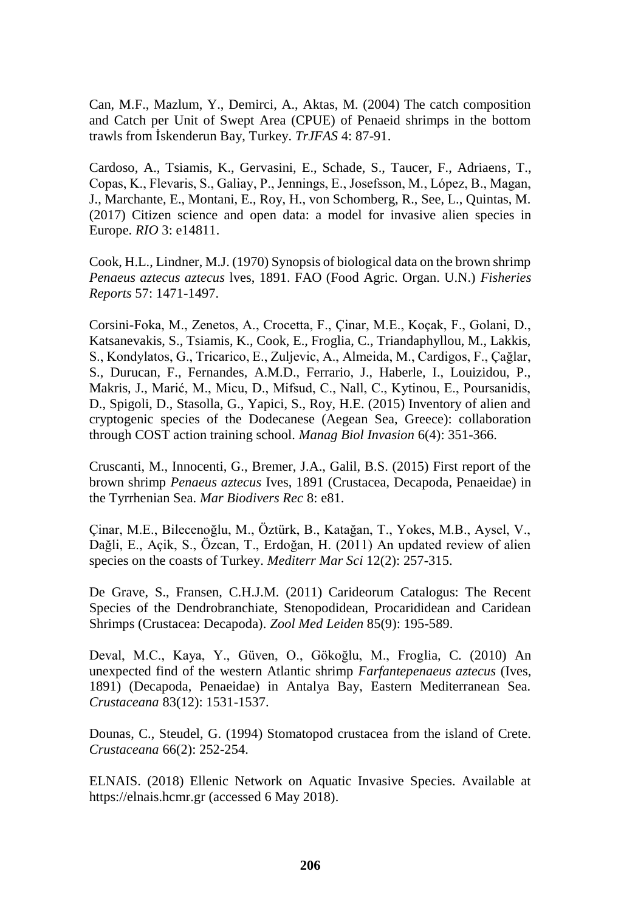Can, M.F., Mazlum, Y., Demirci, A., Aktas, M. (2004) The catch composition and Catch per Unit of Swept Area (CPUE) of Penaeid shrimps in the bottom trawls from İskenderun Bay, Turkey. *TrJFAS* 4: 87-91.

Cardoso, A., Tsiamis, K., Gervasini, E., Schade, S., Taucer, F., Adriaens, T., Copas, K., Flevaris, S., Galiay, P., Jennings, E., Josefsson, M., López, B., Magan, J., Marchante, E., Montani, E., Roy, H., von Schomberg, R., See, L., Quintas, M. (2017) Citizen science and open data: a model for invasive alien species in Europe. *RIO* 3: e14811.

Cook, H.L., Lindner, M.J. (1970) Synopsis of biological data on the brown shrimp *Penaeus aztecus aztecus* lves, 1891. FAO (Food Agric. Organ. U.N.) *Fisheries Reports* 57: 1471-1497.

Corsini-Foka, M., Zenetos, A., Crocetta, F., Çinar, M.E., Koçak, F., Golani, D., Katsanevakis, S., Tsiamis, K., Cook, E., Froglia, C., Triandaphyllou, M., Lakkis, S., Kondylatos, G., Tricarico, E., Zuljevic, A., Almeida, M., Cardigos, F., Çağlar, S., Durucan, F., Fernandes, A.M.D., Ferrario, J., Haberle, I., Louizidou, P., Makris, J., Marić, M., Micu, D., Mifsud, C., Nall, C., Kytinou, E., Poursanidis, D., Spigoli, D., Stasolla, G., Yapici, S., Roy, H.E. (2015) Inventory of alien and cryptogenic species of the Dodecanese (Aegean Sea, Greece): collaboration through COST action training school. *Manag Biol Invasion* 6(4): 351-366.

Cruscanti, M., Innocenti, G., Bremer, J.A., Galil, B.S. (2015) First report of the brown shrimp *Penaeus aztecus* Ives, 1891 (Crustacea, Decapoda, Penaeidae) in the Tyrrhenian Sea. *Mar Biodivers Rec* 8: e81.

Çinar, M.E., Bilecenoğlu, M., Öztürk, B., Katağan, T., Yokes, M.B., Aysel, V., Dağli, E., Açik, S., Özcan, T., Erdoğan, H. (2011) An updated review of alien species on the coasts of Turkey. *Mediterr Mar Sci* 12(2): 257-315.

De Grave, S., Fransen, C.H.J.M. (2011) Carideorum Catalogus: The Recent Species of the Dendrobranchiate, Stenopodidean, Procarididean and Caridean Shrimps (Crustacea: Decapoda). *Zool Med Leiden* 85(9): 195-589.

Deval, M.C., Kaya, Y., Güven, O., Gökoğlu, M., Froglia, C. (2010) An unexpected find of the western Atlantic shrimp *Farfantepenaeus aztecus* (Ives, 1891) (Decapoda, Penaeidae) in Antalya Bay, Eastern Mediterranean Sea. *Crustaceana* 83(12): 1531-1537.

Dounas, C., Steudel, G. (1994) Stomatopod crustacea from the island of Crete. *Crustaceana* 66(2): 252-254.

ELNAIS. (2018) Ellenic Network on Aquatic Invasive Species. Available at https://elnais.hcmr.gr (accessed 6 May 2018).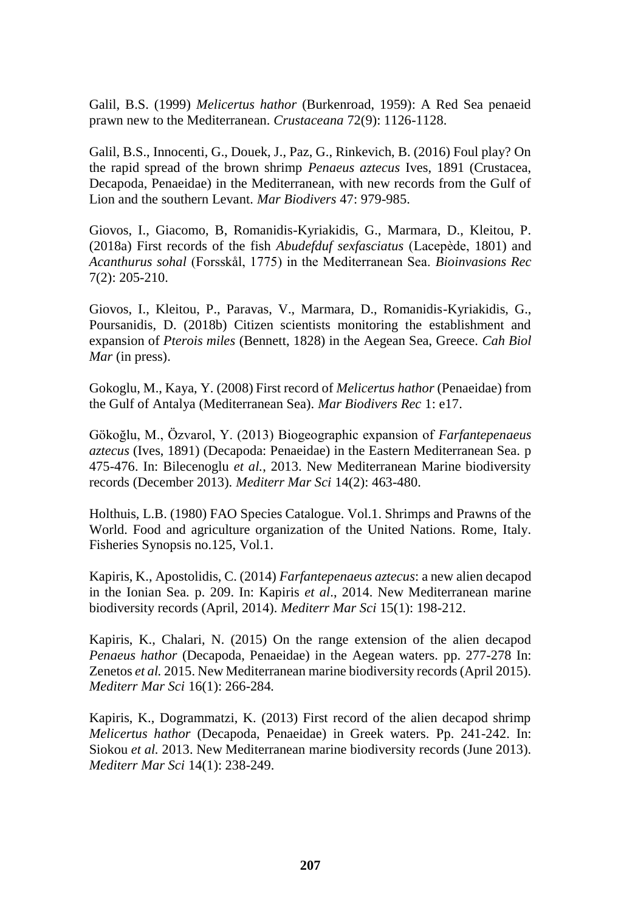Galil, B.S. (1999) *Melicertus hathor* (Burkenroad, 1959): A Red Sea penaeid prawn new to the Mediterranean. *Crustaceana* 72(9): 1126-1128.

Galil, B.S., Innocenti, G., Douek, J., Paz, G., Rinkevich, B. (2016) Foul play? On the rapid spread of the brown shrimp *Penaeus aztecus* Ives, 1891 (Crustacea, Decapoda, Penaeidae) in the Mediterranean, with new records from the Gulf of Lion and the southern Levant. *Mar Biodivers* 47: 979-985.

Giovos, I., Giacomo, B, Romanidis-Kyriakidis, G., Marmara, D., Kleitou, P. (2018a) First records of the fish *Abudefduf sexfasciatus* (Lacepède, 1801) and *Acanthurus sohal* (Forsskål, 1775) in the Mediterranean Sea. *Bioinvasions Rec*  7(2): 205-210.

Giovos, I., Kleitou, P., Paravas, V., Marmara, D., Romanidis-Kyriakidis, G., Poursanidis, D. (2018b) Citizen scientists monitoring the establishment and expansion of *Pterois miles* (Bennett, 1828) in the Aegean Sea, Greece. *Cah Biol Mar* (in press).

Gokoglu, M., Kaya, Y. (2008) First record of *Melicertus hathor* (Penaeidae) from the Gulf of Antalya (Mediterranean Sea). *Mar Biodivers Rec* 1: e17.

Gökoğlu, M., Özvarol, Y. (2013) Biogeographic expansion of *Farfantepenaeus aztecus* (Ives, 1891) (Decapoda: Penaeidae) in the Eastern Mediterranean Sea. p 475-476. In: Bilecenoglu *et al.*, 2013. New Mediterranean Marine biodiversity records (December 2013). *Mediterr Mar Sci* 14(2): 463-480.

Holthuis, L.B. (1980) FAO Species Catalogue. Vol.1. Shrimps and Prawns of the World. Food and agriculture organization of the United Nations. Rome, Italy. Fisheries Synopsis no.125, Vol.1.

Kapiris, K., Apostolidis, C. (2014) *Farfantepenaeus aztecus*: a new alien decapod in the Ionian Sea. p. 209. In: Kapiris *et al*., 2014. New Mediterranean marine biodiversity records (April, 2014). *Mediterr Mar Sci* 15(1): 198-212.

Kapiris, K., Chalari, N. (2015) On the range extension of the alien decapod *Penaeus hathor* (Decapoda, Penaeidae) in the Aegean waters. pp. 277-278 In: Zenetos *et al.* 2015. New Mediterranean marine biodiversity records (April 2015). *Mediterr Mar Sci* 16(1): 266-284*.*

Kapiris, K., Dogrammatzi, K. (2013) First record of the alien decapod shrimp *Melicertus hathor* (Decapoda, Penaeidae) in Greek waters. Pp. 241-242. In: Siokou *et al.* 2013. New Mediterranean marine biodiversity records (June 2013). *Mediterr Mar Sci* 14(1): 238-249.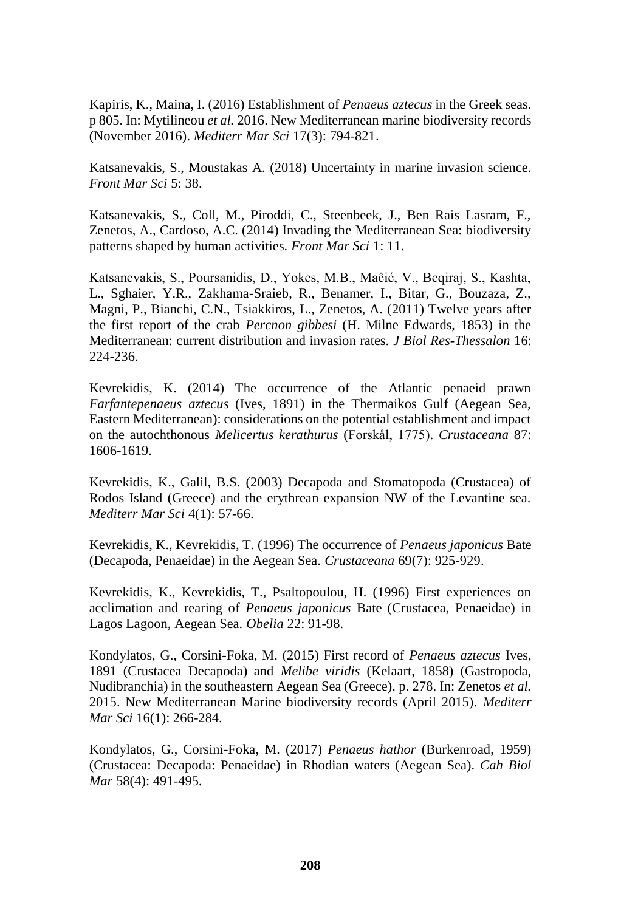Kapiris, K., Maina, I. (2016) Establishment of *Penaeus aztecus* in the Greek seas. p 805. In: Mytilineou *et al.* 2016. New Mediterranean marine biodiversity records (November 2016). *Mediterr Mar Sci* 17(3): 794-821.

Katsanevakis, S., Moustakas A. (2018) Uncertainty in marine invasion science. *Front Mar Sci* 5: 38.

Katsanevakis, S., Coll, M., Piroddi, C., Steenbeek, J., Ben Rais Lasram, F., Zenetos, A., Cardoso, A.C. (2014) Invading the Mediterranean Sea: biodiversity patterns shaped by human activities. *Front Mar Sci* 1: 11.

Katsanevakis, S., Poursanidis, D., Yokes, M.B., Maĉić, V., Beqiraj, S., Kashta, L., Sghaier, Y.R., Zakhama-Sraieb, R., Benamer, I., Bitar, G., Bouzaza, Z., Magni, P., Bianchi, C.N., Tsiakkiros, L., Zenetos, A. (2011) Twelve years after the first report of the crab *Percnon gibbesi* (H. Milne Edwards, 1853) in the Mediterranean: current distribution and invasion rates. *J Biol Res-Thessalon* 16: 224-236.

Kevrekidis, K. (2014) The occurrence of the Atlantic penaeid prawn *Farfantepenaeus aztecus* (Ives, 1891) in the Thermaikos Gulf (Aegean Sea, Eastern Mediterranean): considerations on the potential establishment and impact on the autochthonous *Melicertus kerathurus* (Forskål, 1775). *Crustaceana* 87: 1606-1619.

Kevrekidis, K., Galil, B.S. (2003) Decapoda and Stomatopoda (Crustacea) of Rodos Island (Greece) and the erythrean expansion NW of the Levantine sea. *Mediterr Mar Sci* 4(1): 57-66.

Kevrekidis, K., Kevrekidis, T. (1996) The occurrence of *Penaeus japonicus* Bate (Decapoda, Penaeidae) in the Aegean Sea. *Crustaceana* 69(7): 925-929.

Kevrekidis, K., Kevrekidis, T., Psaltopoulou, H. (1996) First experiences on acclimation and rearing of *Penaeus japonicus* Bate (Crustacea, Penaeidae) in Lagos Lagoon, Aegean Sea. *Obelia* 22: 91-98.

Kondylatos, G., Corsini-Foka, M. (2015) First record of *Penaeus aztecus* Ives, 1891 (Crustacea Decapoda) and *Melibe viridis* (Kelaart, 1858) (Gastropoda, Nudibranchia) in the southeastern Aegean Sea (Greece). p. 278. In: Zenetos *et al.* 2015. New Mediterranean Marine biodiversity records (April 2015). *Mediterr Mar Sci* 16(1): 266-284.

Kondylatos, G., Corsini-Foka, M. (2017) *Penaeus hathor* (Burkenroad, 1959) (Crustacea: Decapoda: Penaeidae) in Rhodian waters (Aegean Sea). *Cah Biol Mar* 58(4): 491-495.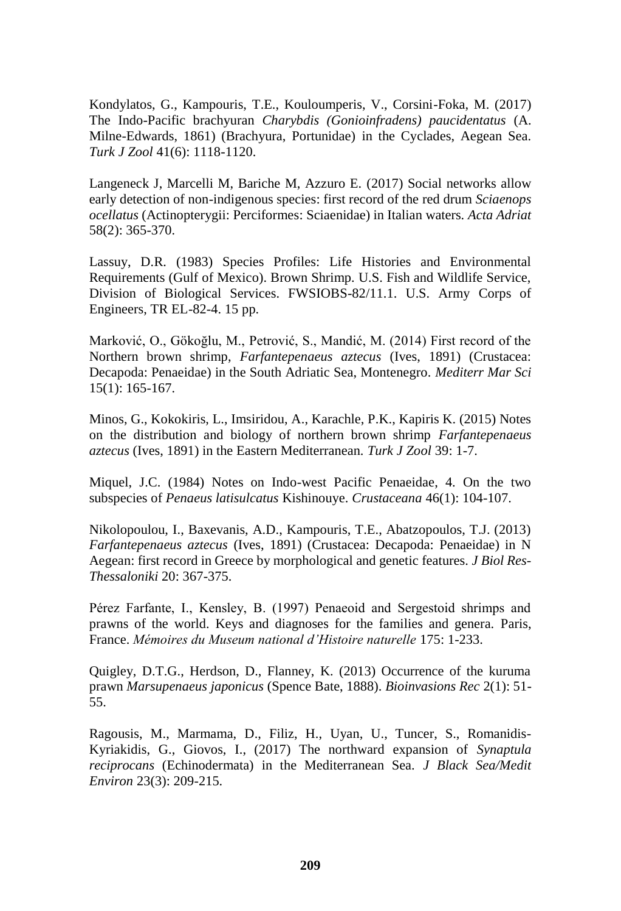Kondylatos, G., Kampouris, T.E., Kouloumperis, V., Corsini-Foka, M. (2017) The Indo-Pacific brachyuran *Charybdis (Gonioinfradens) paucidentatus* (A. Milne-Edwards, 1861) (Brachyura, Portunidae) in the Cyclades, Aegean Sea. *Turk J Zool* 41(6): 1118-1120.

Langeneck J, Marcelli M, Bariche M, Azzuro E. (2017) Social networks allow early detection of non-indigenous species: first record of the red drum *Sciaenops ocellatus* (Actinopterygii: Perciformes: Sciaenidae) in Italian waters*. Acta Adriat*  58(2): 365-370.

Lassuy, D.R. (1983) Species Profiles: Life Histories and Environmental Requirements (Gulf of Mexico). Brown Shrimp. U.S. Fish and Wildlife Service, Division of Biological Services. FWSIOBS-82/11.1. U.S. Army Corps of Engineers, TR EL-82-4. 15 pp.

Marković, O., Gökoğlu, M., Petrović, S., Mandić, M. (2014) First record of the Northern brown shrimp, *Farfantepenaeus aztecus* (Ives, 1891) (Crustacea: Decapoda: Penaeidae) in the South Adriatic Sea, Montenegro. *Mediterr Mar Sci*  15(1): 165-167.

Minos, G., Kokokiris, L., Imsiridou, A., Karachle, P.K., Kapiris K. (2015) Notes on the distribution and biology of northern brown shrimp *Farfantepenaeus aztecus* (Ives, 1891) in the Eastern Mediterranean. *Turk J Zool* 39: 1-7.

Miquel, J.C. (1984) Notes on Indo-west Pacific Penaeidae, 4. On the two subspecies of *Penaeus latisulcatus* Kishinouye. *Crustaceana* 46(1): 104-107.

Nikolopoulou, I., Baxevanis, A.D., Kampouris, T.E., Abatzopoulos, T.J. (2013) *Farfantepenaeus aztecus* (Ives, 1891) (Crustacea: Decapoda: Penaeidae) in N Aegean: first record in Greece by morphological and genetic features. *J Biol Res-Thessaloniki* 20: 367-375.

Pérez Farfante, I., Kensley, B. (1997) Penaeoid and Sergestoid shrimps and prawns of the world. Keys and diagnoses for the families and genera. Paris, France. *Mémoires du Museum national d'Histoire naturelle* 175: 1-233.

Quigley, D.T.G., Herdson, D., Flanney, K. (2013) Occurrence of the kuruma prawn *Marsupenaeus japonicus* (Spence Bate, 1888). *Bioinvasions Rec* 2(1): 51- 55.

Ragousis, M., Marmama, D., Filiz, H., Uyan, U., Tuncer, S., Romanidis-Kyriakidis, G., Giovos, I., (2017) The northward expansion of *Synaptula reciprocans* (Echinodermata) in the Mediterranean Sea. *J Black Sea/Medit Environ* 23(3): 209-215.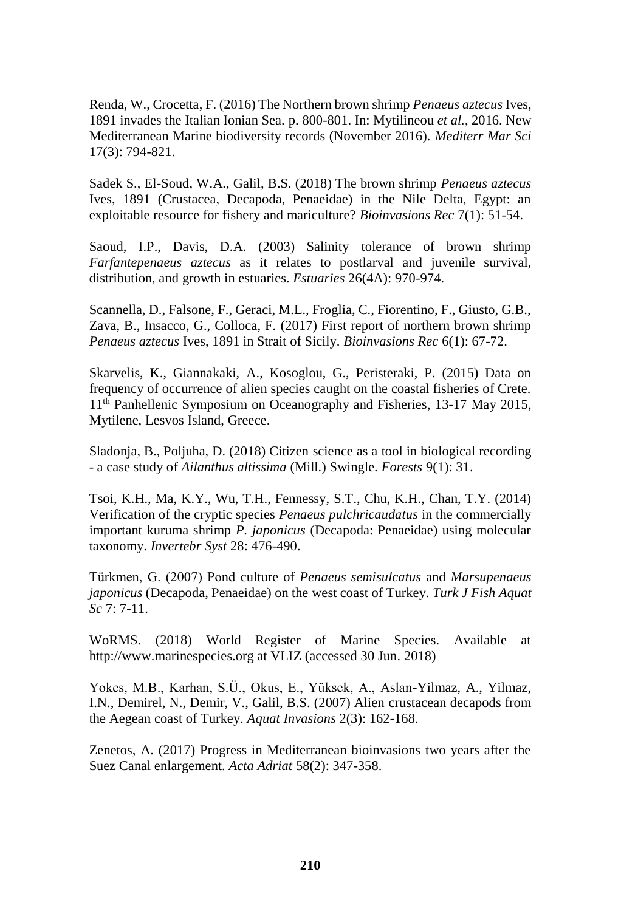Renda, W., Crocetta, F. (2016) The Northern brown shrimp *Penaeus aztecus* Ives, 1891 invades the Italian Ionian Sea. p. 800-801. In: Mytilineou *et al.*, 2016. New Mediterranean Marine biodiversity records (November 2016). *Mediterr Mar Sci*  17(3): 794-821.

Sadek S., El-Soud, W.A., Galil, B.S. (2018) The brown shrimp *Penaeus aztecus*  Ives, 1891 (Crustacea, Decapoda, Penaeidae) in the Nile Delta, Egypt: an exploitable resource for fishery and mariculture? *Bioinvasions Rec* 7(1): 51-54.

Saoud, I.P., Davis, D.A. (2003) Salinity tolerance of brown shrimp *Farfantepenaeus aztecus* as it relates to postlarval and juvenile survival, distribution, and growth in estuaries. *Estuaries* 26(4A): 970-974.

Scannella, D., Falsone, F., Geraci, M.L., Froglia, C., Fiorentino, F., Giusto, G.B., Zava, B., Insacco, G., Colloca, F. (2017) First report of northern brown shrimp *Penaeus aztecus* Ives, 1891 in Strait of Sicily. *Bioinvasions Rec* 6(1): 67-72.

Skarvelis, K., Giannakaki, A., Kosoglou, G., Peristeraki, P. (2015) Data on frequency of occurrence of alien species caught on the coastal fisheries of Crete. 11th Panhellenic Symposium on Oceanography and Fisheries, 13-17 May 2015, Mytilene, Lesvos Island, Greece.

Sladonja, B., Poljuha, D. (2018) Citizen science as a tool in biological recording - a case study of *Ailanthus altissima* (Mill.) Swingle. *Forests* 9(1): 31.

Tsoi, K.H., Ma, K.Y., Wu, T.H., Fennessy, S.T., Chu, K.H., Chan, T.Y. (2014) Verification of the cryptic species *Penaeus pulchricaudatus* in the commercially important kuruma shrimp *P. japonicus* (Decapoda: Penaeidae) using molecular taxonomy. *Invertebr Syst* 28: 476-490.

Türkmen, G. (2007) Pond culture of *Penaeus semisulcatus* and *Marsupenaeus japonicus* (Decapoda, Penaeidae) on the west coast of Turkey. *Turk J Fish Aquat Sc* 7: 7-11.

WoRMS. (2018) World Register of Marine Species. Available at http://www.marinespecies.org at VLIZ (accessed 30 Jun. 2018)

Yokes, M.B., Karhan, S.Ü., Okus, E., Yüksek, A., Aslan-Yilmaz, A., Yilmaz, I.N., Demirel, N., Demir, V., Galil, B.S. (2007) Alien crustacean decapods from the Aegean coast of Turkey. *Aquat Invasions* 2(3): 162-168.

Zenetos, A. (2017) Progress in Mediterranean bioinvasions two years after the Suez Canal enlargement. *Acta Adriat* 58(2): 347-358.